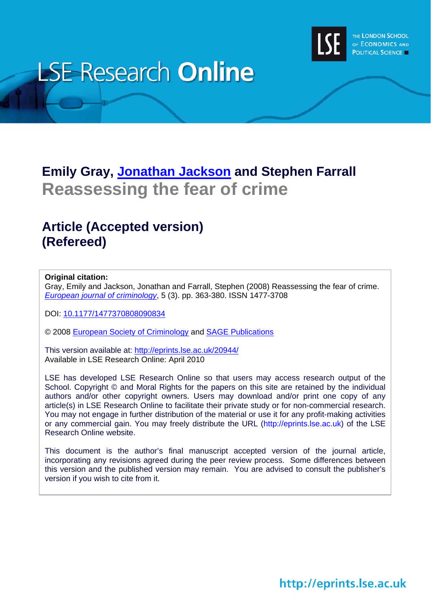

# **LSE Research Online**

# **Emily Gray, [Jonathan Jackson](http://www2.lse.ac.uk/researchAndExpertise/Experts/profile.aspx?KeyValue=j.p.jackson@lse.ac.uk) and Stephen Farrall Reassessing the fear of crime**

# **Article (Accepted version) (Refereed)**

# **Original citation:**

Gray, Emily and Jackson, Jonathan and Farrall, Stephen (2008) Reassessing the fear of crime. *[European journal of criminology](http://euc.sagepub.com/)*, 5 (3). pp. 363-380. ISSN 1477-3708

DOI: [10.1177/1477370808090834](http://dx.doi.org/10.1177/1477370808090834)

© 2008 [European Society of Criminology](http://www.esc-eurocrim.org/) and [SAGE Publications](http://online.sagepub.com/)

This version available at: <http://eprints.lse.ac.uk/20944/> Available in LSE Research Online: April 2010

LSE has developed LSE Research Online so that users may access research output of the School. Copyright © and Moral Rights for the papers on this site are retained by the individual authors and/or other copyright owners. Users may download and/or print one copy of any article(s) in LSE Research Online to facilitate their private study or for non-commercial research. You may not engage in further distribution of the material or use it for any profit-making activities or any commercial gain. You may freely distribute the URL (http://eprints.lse.ac.uk) of the LSE Research Online website.

This document is the author's final manuscript accepted version of the journal article, incorporating any revisions agreed during the peer review process. Some differences between this version and the published version may remain. You are advised to consult the publisher's version if you wish to cite from it.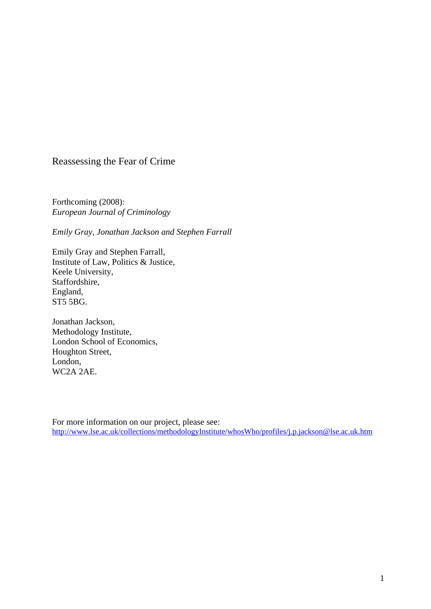# Reassessing the Fear of Crime

Forthcoming (2008): *European Journal of Criminology* 

*Emily Gray, Jonathan Jackson and Stephen Farrall* 

Emily Gray and Stephen Farrall, Institute of Law, Politics & Justice, Keele University, Staffordshire, England, ST5 5BG.

Jonathan Jackson, Methodology Institute, London School of Economics, Houghton Street, London, WC2A 2AE.

For more information on our project, please see: <http://www.lse.ac.uk/collections/methodologyInstitute/whosWho/profiles/j.p.jackson@lse.ac.uk.htm>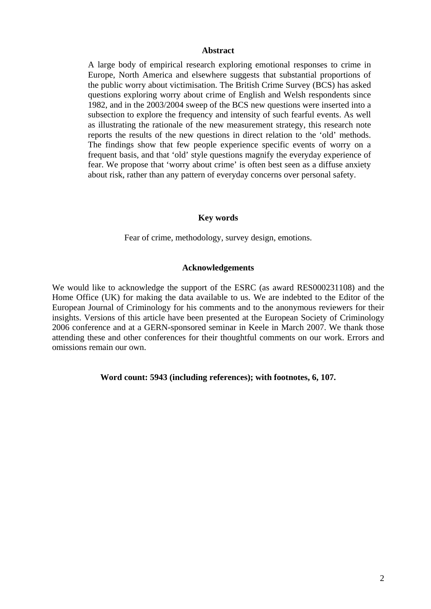#### **Abstract**

A large body of empirical research exploring emotional responses to crime in Europe, North America and elsewhere suggests that substantial proportions of the public worry about victimisation. The British Crime Survey (BCS) has asked questions exploring worry about crime of English and Welsh respondents since 1982, and in the 2003/2004 sweep of the BCS new questions were inserted into a subsection to explore the frequency and intensity of such fearful events. As well as illustrating the rationale of the new measurement strategy, this research note reports the results of the new questions in direct relation to the 'old' methods. The findings show that few people experience specific events of worry on a frequent basis, and that 'old' style questions magnify the everyday experience of fear. We propose that 'worry about crime' is often best seen as a diffuse anxiety about risk, rather than any pattern of everyday concerns over personal safety.

# **Key words**

Fear of crime, methodology, survey design, emotions.

# **Acknowledgements**

We would like to acknowledge the support of the ESRC (as award RES000231108) and the Home Office (UK) for making the data available to us. We are indebted to the Editor of the European Journal of Criminology for his comments and to the anonymous reviewers for their insights. Versions of this article have been presented at the European Society of Criminology 2006 conference and at a GERN-sponsored seminar in Keele in March 2007. We thank those attending these and other conferences for their thoughtful comments on our work. Errors and omissions remain our own.

# **Word count: 5943 (including references); with footnotes, 6, 107.**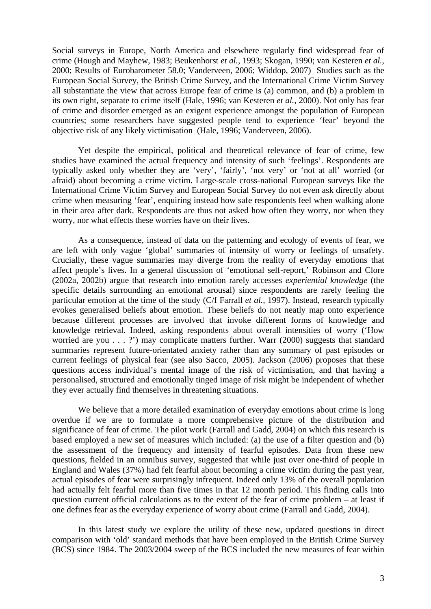Social surveys in Europe, North America and elsewhere regularly find widespread fear of crime (Hough and Mayhew, 1983; Beukenhorst *et al.,* 1993; Skogan, 1990; van Kesteren *et al.,*  2000; Results of Eurobarometer 58.0; Vanderveen, 2006; Widdop, 2007) Studies such as the European Social Survey, the British Crime Survey, and the International Crime Victim Survey all substantiate the view that across Europe fear of crime is (a) common, and (b) a problem in its own right, separate to crime itself (Hale, 1996; van Kesteren *et al.,* 2000). Not only has fear of crime and disorder emerged as an exigent experience amongst the population of European countries; some researchers have suggested people tend to experience 'fear' beyond the objective risk of any likely victimisation (Hale, 1996; Vanderveen, 2006).

Yet despite the empirical, political and theoretical relevance of fear of crime, few studies have examined the actual frequency and intensity of such 'feelings'. Respondents are typically asked only whether they are 'very', 'fairly', 'not very' or 'not at all' worried (or afraid) about becoming a crime victim. Large-scale cross-national European surveys like the International Crime Victim Survey and European Social Survey do not even ask directly about crime when measuring 'fear', enquiring instead how safe respondents feel when walking alone in their area after dark. Respondents are thus not asked how often they worry, nor when they worry, nor what effects these worries have on their lives.

As a consequence, instead of data on the patterning and ecology of events of fear, we are left with only vague 'global' summaries of intensity of worry or feelings of unsafety. Crucially, these vague summaries may diverge from the reality of everyday emotions that affect people's lives. In a general discussion of 'emotional self-report,' Robinson and Clore (2002a, 2002b) argue that research into emotion rarely accesses *experiential knowledge* (the specific details surrounding an emotional arousal) since respondents are rarely feeling the particular emotion at the time of the study (C/f Farrall *et al.,* 1997). Instead, research typically evokes generalised beliefs about emotion. These beliefs do not neatly map onto experience because different processes are involved that invoke different forms of knowledge and knowledge retrieval. Indeed, asking respondents about overall intensities of worry ('How worried are you . . . ?') may complicate matters further. Warr (2000) suggests that standard summaries represent future-orientated anxiety rather than any summary of past episodes or current feelings of physical fear (see also Sacco, 2005). Jackson (2006) proposes that these questions access individual's mental image of the risk of victimisation, and that having a personalised, structured and emotionally tinged image of risk might be independent of whether they ever actually find themselves in threatening situations.

We believe that a more detailed examination of everyday emotions about crime is long overdue if we are to formulate a more comprehensive picture of the distribution and significance of fear of crime. The pilot work (Farrall and Gadd, 2004) on which this research is based employed a new set of measures which included: (a) the use of a filter question and (b) the assessment of the frequency and intensity of fearful episodes. Data from these new questions, fielded in an omnibus survey, suggested that while just over one-third of people in England and Wales (37%) had felt fearful about becoming a crime victim during the past year, actual episodes of fear were surprisingly infrequent. Indeed only 13% of the overall population had actually felt fearful more than five times in that 12 month period. This finding calls into question current official calculations as to the extent of the fear of crime problem – at least if one defines fear as the everyday experience of worry about crime (Farrall and Gadd, 2004).

In this latest study we explore the utility of these new, updated questions in direct comparison with 'old' standard methods that have been employed in the British Crime Survey (BCS) since 1984. The 2003/2004 sweep of the BCS included the new measures of fear within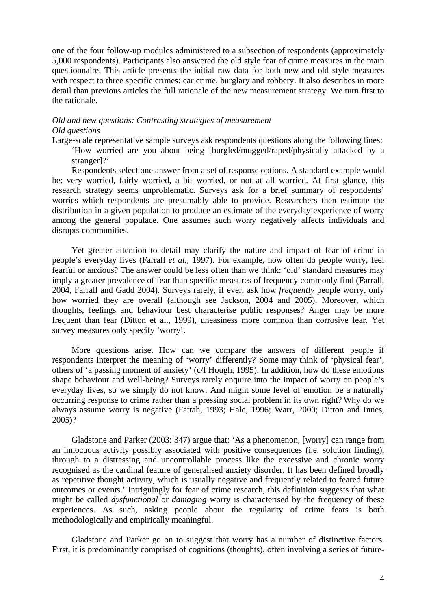one of the four follow-up modules administered to a subsection of respondents (approximately 5,000 respondents). Participants also answered the old style fear of crime measures in the main questionnaire. This article presents the initial raw data for both new and old style measures with respect to three specific crimes: car crime, burglary and robbery. It also describes in more detail than previous articles the full rationale of the new measurement strategy. We turn first to the rationale.

# *Old and new questions: Contrasting strategies of measurement Old questions*

Large-scale representative sample surveys ask respondents questions along the following lines: 'How worried are you about being [burgled/mugged/raped/physically attacked by a stranger]?'

Respondents select one answer from a set of response options. A standard example would be: very worried, fairly worried, a bit worried, or not at all worried. At first glance, this research strategy seems unproblematic. Surveys ask for a brief summary of respondents' worries which respondents are presumably able to provide. Researchers then estimate the distribution in a given population to produce an estimate of the everyday experience of worry among the general populace. One assumes such worry negatively affects individuals and disrupts communities.

Yet greater attention to detail may clarify the nature and impact of fear of crime in people's everyday lives (Farrall *et al.,* 1997). For example, how often do people worry, feel fearful or anxious? The answer could be less often than we think: 'old' standard measures may imply a greater prevalence of fear than specific measures of frequency commonly find (Farrall, 2004, Farrall and Gadd 2004). Surveys rarely, if ever, ask how *frequently* people worry, only how worried they are overall (although see Jackson, 2004 and 2005). Moreover, which thoughts, feelings and behaviour best characterise public responses? Anger may be more frequent than fear (Ditton et al., 1999), uneasiness more common than corrosive fear. Yet survey measures only specify 'worry'.

More questions arise. How can we compare the answers of different people if respondents interpret the meaning of 'worry' differently? Some may think of 'physical fear', others of 'a passing moment of anxiety' (c/f Hough, 1995). In addition, how do these emotions shape behaviour and well-being? Surveys rarely enquire into the impact of worry on people's everyday lives, so we simply do not know. And might some level of emotion be a naturally occurring response to crime rather than a pressing social problem in its own right? Why do we always assume worry is negative (Fattah, 1993; Hale, 1996; Warr, 2000; Ditton and Innes, 2005)?

Gladstone and Parker (2003: 347) argue that: 'As a phenomenon, [worry] can range from an innocuous activity possibly associated with positive consequences (i.e. solution finding), through to a distressing and uncontrollable process like the excessive and chronic worry recognised as the cardinal feature of generalised anxiety disorder. It has been defined broadly as repetitive thought activity, which is usually negative and frequently related to feared future outcomes or events.' Intriguingly for fear of crime research, this definition suggests that what might be called *dysfunctional* or *damaging* worry is characterised by the frequency of these experiences. As such, asking people about the regularity of crime fears is both methodologically and empirically meaningful.

Gladstone and Parker go on to suggest that worry has a number of distinctive factors. First, it is predominantly comprised of cognitions (thoughts), often involving a series of future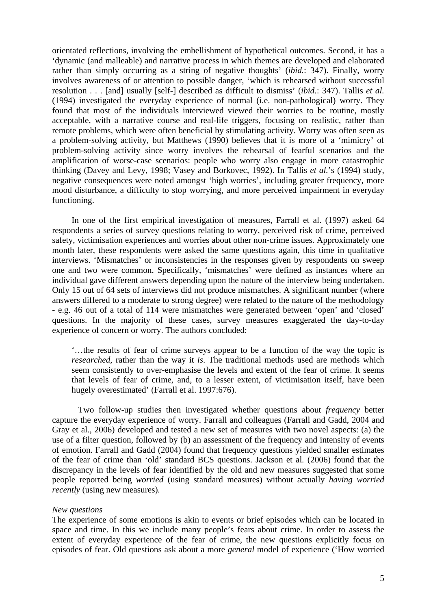orientated reflections, involving the embellishment of hypothetical outcomes. Second, it has a 'dynamic (and malleable) and narrative process in which themes are developed and elaborated rather than simply occurring as a string of negative thoughts' (*ibid.*: 347). Finally, worry involves awareness of or attention to possible danger, 'which is rehearsed without successful resolution . . . [and] usually [self-] described as difficult to dismiss' (*ibid.*: 347). Tallis *et al.*  (1994) investigated the everyday experience of normal (i.e. non-pathological) worry. They found that most of the individuals interviewed viewed their worries to be routine, mostly acceptable, with a narrative course and real-life triggers, focusing on realistic, rather than remote problems, which were often beneficial by stimulating activity. Worry was often seen as a problem-solving activity, but Matthews (1990) believes that it is more of a 'mimicry' of problem-solving activity since worry involves the rehearsal of fearful scenarios and the amplification of worse-case scenarios: people who worry also engage in more catastrophic thinking (Davey and Levy, 1998; Vasey and Borkovec, 1992). In Tallis *et al.*'s (1994) study, negative consequences were noted amongst 'high worries', including greater frequency, more mood disturbance, a difficulty to stop worrying, and more perceived impairment in everyday functioning.

In one of the first empirical investigation of measures, Farrall et al. (1997) asked 64 respondents a series of survey questions relating to worry, perceived risk of crime, perceived safety, victimisation experiences and worries about other non-crime issues. Approximately one month later, these respondents were asked the same questions again, this time in qualitative interviews. 'Mismatches' or inconsistencies in the responses given by respondents on sweep one and two were common. Specifically, 'mismatches' were defined as instances where an individual gave different answers depending upon the nature of the interview being undertaken. Only 15 out of 64 sets of interviews did not produce mismatches. A significant number (where answers differed to a moderate to strong degree) were related to the nature of the methodology - e.g. 46 out of a total of 114 were mismatches were generated between 'open' and 'closed' questions. In the majority of these cases, survey measures exaggerated the day-to-day experience of concern or worry. The authors concluded:

'…the results of fear of crime surveys appear to be a function of the way the topic is *researched*, rather than the way it *is*. The traditional methods used are methods which seem consistently to over-emphasise the levels and extent of the fear of crime. It seems that levels of fear of crime, and, to a lesser extent, of victimisation itself, have been hugely overestimated' (Farrall et al. 1997:676).

Two follow-up studies then investigated whether questions about *frequency* better capture the everyday experience of worry. Farrall and colleagues (Farrall and Gadd, 2004 and Gray et al., 2006) developed and tested a new set of measures with two novel aspects: (a) the use of a filter question, followed by (b) an assessment of the frequency and intensity of events of emotion. Farrall and Gadd (2004) found that frequency questions yielded smaller estimates of the fear of crime than 'old' standard BCS questions. Jackson et al*.* (2006) found that the discrepancy in the levels of fear identified by the old and new measures suggested that some people reported being *worried* (using standard measures) without actually *having worried recently* (using new measures)*.*

#### *New questions*

The experience of some emotions is akin to events or brief episodes which can be located in space and time. In this we include many people's fears about crime. In order to assess the extent of everyday experience of the fear of crime, the new questions explicitly focus on episodes of fear. Old questions ask about a more *general* model of experience ('How worried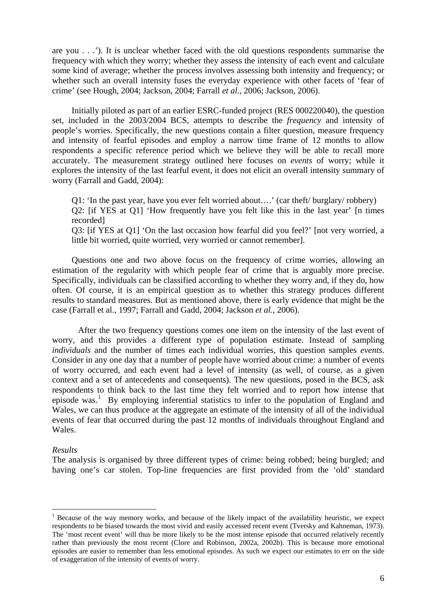are you . . .'). It is unclear whether faced with the old questions respondents summarise the frequency with which they worry; whether they assess the intensity of each event and calculate some kind of average; whether the process involves assessing both intensity and frequency; or whether such an overall intensity fuses the everyday experience with other facets of 'fear of crime' (see Hough, 2004; Jackson, 2004; Farrall *et al.,* 2006; Jackson, 2006).

Initially piloted as part of an earlier ESRC-funded project (RES 000220040), the question set, included in the 2003/2004 BCS, attempts to describe the *frequency* and intensity of people's worries. Specifically, the new questions contain a filter question, measure frequency and intensity of fearful episodes and employ a narrow time frame of 12 months to allow respondents a specific reference period which we believe they will be able to recall more accurately. The measurement strategy outlined here focuses on *events* of worry; while it explores the intensity of the last fearful event, it does not elicit an overall intensity summary of worry (Farrall and Gadd, 2004):

Q1: 'In the past year, have you ever felt worried about….' (car theft/ burglary/ robbery) Q2: [if YES at Q1] 'How frequently have you felt like this in the last year' [n times recorded]

Q3: [if YES at Q1] 'On the last occasion how fearful did you feel?' [not very worried, a little bit worried, quite worried, very worried or cannot remember].

Questions one and two above focus on the frequency of crime worries, allowing an estimation of the regularity with which people fear of crime that is arguably more precise. Specifically, individuals can be classified according to whether they worry and, if they do, how often. Of course, it is an empirical question as to whether this strategy produces different results to standard measures. But as mentioned above, there is early evidence that might be the case (Farrall et al., 1997; Farrall and Gadd, 2004; Jackson *et al.,* 2006).

 After the two frequency questions comes one item on the intensity of the last event of worry, and this provides a different type of population estimate. Instead of sampling *individuals* and the number of times each individual worries, this question samples *events*. Consider in any one day that a number of people have worried about crime: a number of events of worry occurred, and each event had a level of intensity (as well, of course, as a given context and a set of antecedents and consequents). The new questions, posed in the BCS, ask respondents to think back to the last time they felt worried and to report how intense that episode was.<sup>[1](#page-6-0)</sup> By employing inferential statistics to infer to the population of England and Wales, we can thus produce at the aggregate an estimate of the intensity of all of the individual events of fear that occurred during the past 12 months of individuals throughout England and Wales.

## *Results*

1

The analysis is organised by three different types of crime: being robbed; being burgled; and having one's car stolen. Top-line frequencies are first provided from the 'old' standard

<span id="page-6-0"></span><sup>&</sup>lt;sup>1</sup> Because of the way memory works, and because of the likely impact of the availability heuristic, we expect respondents to be biased towards the most vivid and easily accessed recent event (Tversky and Kahneman, 1973). The 'most recent event' will thus be more likely to be the most intense episode that occurred relatively recently rather than previously the most recent (Clore and Robinson, 2002a, 2002b). This is because more emotional episodes are easier to remember than less emotional episodes. As such we expect our estimates to err on the side of exaggeration of the intensity of events of worry.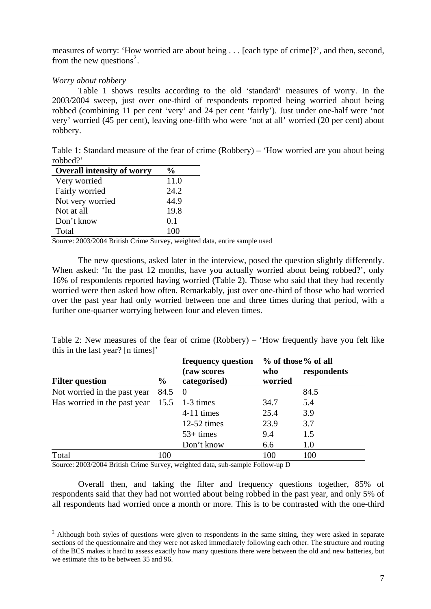measures of worry: 'How worried are about being . . . [each type of crime]?', and then, second, from the new questions<sup>[2](#page-7-0)</sup>.

# *Worry about robbery*

<u>.</u>

Table 1 shows results according to the old 'standard' measures of worry. In the 2003/2004 sweep, just over one-third of respondents reported being worried about being robbed (combining 11 per cent 'very' and 24 per cent 'fairly'). Just under one-half were 'not very' worried (45 per cent), leaving one-fifth who were 'not at all' worried (20 per cent) about robbery.

Table 1: Standard measure of the fear of crime (Robbery) – 'How worried are you about being robbed?'

| <b>Overall intensity of worry</b> | $\%$ |
|-----------------------------------|------|
| Very worried                      | 11.0 |
| Fairly worried                    | 24.2 |
| Not very worried                  | 44.9 |
| Not at all                        | 19.8 |
| Don't know                        | 0.1  |
| Total                             | 100  |

Source: 2003/2004 British Crime Survey, weighted data, entire sample used

The new questions, asked later in the interview, posed the question slightly differently. When asked: 'In the past 12 months, have you actually worried about being robbed?', only 16% of respondents reported having worried (Table 2). Those who said that they had recently worried were then asked how often. Remarkably, just over one-third of those who had worried over the past year had only worried between one and three times during that period, with a further one-quarter worrying between four and eleven times.

Table 2: New measures of the fear of crime (Robbery) – 'How frequently have you felt like this in the last year? [n times]'

|                                               |               | frequency question |         | % of those % of all |
|-----------------------------------------------|---------------|--------------------|---------|---------------------|
|                                               |               | (raw scores        | who     | respondents         |
| <b>Filter question</b>                        | $\frac{6}{9}$ | categorised)       | worried |                     |
| Not worried in the past year                  | 84.5          | $\overline{0}$     |         | 84.5                |
| Has worried in the past year $15.5$ 1-3 times |               |                    | 34.7    | 5.4                 |
|                                               |               | 4-11 times         | 25.4    | 3.9                 |
|                                               |               | $12-52$ times      | 23.9    | 3.7                 |
|                                               |               | $53+ times$        | 9.4     | 1.5                 |
|                                               |               | Don't know         | 6.6     | 1.0                 |
| Total                                         | 100           |                    | 100     | 100                 |

Source: 2003/2004 British Crime Survey, weighted data, sub-sample Follow-up D

Overall then, and taking the filter and frequency questions together, 85% of respondents said that they had not worried about being robbed in the past year, and only 5% of all respondents had worried once a month or more. This is to be contrasted with the one-third

<span id="page-7-0"></span> $2$  Although both styles of questions were given to respondents in the same sitting, they were asked in separate sections of the questionnaire and they were not asked immediately following each other. The structure and routing of the BCS makes it hard to assess exactly how many questions there were between the old and new batteries, but we estimate this to be between 35 and 96.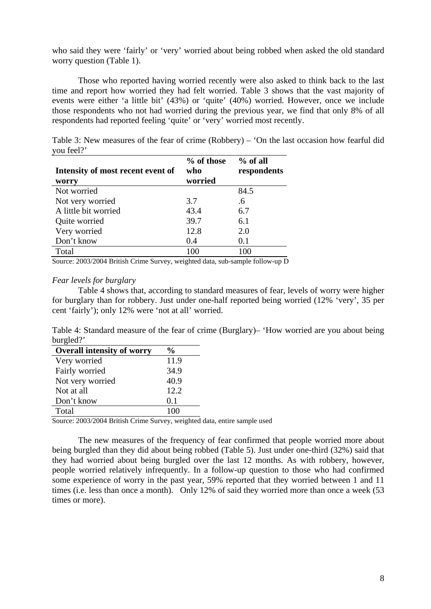who said they were 'fairly' or 'very' worried about being robbed when asked the old standard worry question (Table 1).

Those who reported having worried recently were also asked to think back to the last time and report how worried they had felt worried. Table 3 shows that the vast majority of events were either 'a little bit' (43%) or 'quite' (40%) worried. However, once we include those respondents who not had worried during the previous year, we find that only 8% of all respondents had reported feeling 'quite' or 'very' worried most recently.

Table 3: New measures of the fear of crime (Robbery) – 'On the last occasion how fearful did you feel?'

| Intensity of most recent event of | % of those<br>who | $%$ of all<br>respondents |
|-----------------------------------|-------------------|---------------------------|
| worry                             | worried           |                           |
| Not worried                       |                   | 84.5                      |
| Not very worried                  | 3.7               | .6                        |
| A little bit worried              | 43.4              | 6.7                       |
| Quite worried                     | 39.7              | 6.1                       |
| Very worried                      | 12.8              | 2.0                       |
| Don't know                        | 0.4               | 0.1                       |
| Total                             | 100               | 100                       |

Source: 2003/2004 British Crime Survey, weighted data, sub-sample follow-up D

## *Fear levels for burglary*

Table 4 shows that, according to standard measures of fear, levels of worry were higher for burglary than for robbery. Just under one-half reported being worried (12% 'very', 35 per cent 'fairly'); only 12% were 'not at all' worried.

Table 4: Standard measure of the fear of crime (Burglary)– 'How worried are you about being burgled?'

| <b>Overall intensity of worry</b> | %    |
|-----------------------------------|------|
| Very worried                      | 11.9 |
| Fairly worried                    | 34.9 |
| Not very worried                  | 40.9 |
| Not at all                        | 12.2 |
| Don't know                        | 0.1  |
| Total                             | 100  |

Source: 2003/2004 British Crime Survey, weighted data, entire sample used

The new measures of the frequency of fear confirmed that people worried more about being burgled than they did about being robbed (Table 5). Just under one-third (32%) said that they had worried about being burgled over the last 12 months. As with robbery, however, people worried relatively infrequently. In a follow-up question to those who had confirmed some experience of worry in the past year, 59% reported that they worried between 1 and 11 times (i.e. less than once a month). Only 12% of said they worried more than once a week (53 times or more).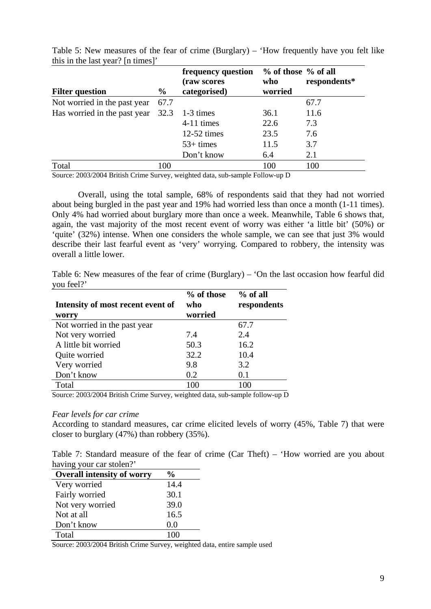|                                               |               | frequency question<br>(raw scores | % of those % of all<br>who | respondents* |
|-----------------------------------------------|---------------|-----------------------------------|----------------------------|--------------|
| <b>Filter question</b>                        | $\frac{6}{9}$ | categorised)                      | worried                    |              |
| Not worried in the past year                  | 67.7          |                                   |                            | 67.7         |
| Has worried in the past year $32.3$ 1-3 times |               |                                   | 36.1                       | 11.6         |
|                                               |               | 4-11 times                        | 22.6                       | 7.3          |
|                                               |               | $12-52$ times                     | 23.5                       | 7.6          |
|                                               |               | $53+ times$                       | 11.5                       | 3.7          |
|                                               |               | Don't know                        | 6.4                        | 2.1          |
| Total                                         | 100           |                                   | 100                        | 100          |

Table 5: New measures of the fear of crime (Burglary) – 'How frequently have you felt like this in the last year? [n times]'

Source: 2003/2004 British Crime Survey, weighted data, sub-sample Follow-up D

Overall, using the total sample, 68% of respondents said that they had not worried about being burgled in the past year and 19% had worried less than once a month (1-11 times). Only 4% had worried about burglary more than once a week. Meanwhile, Table 6 shows that, again, the vast majority of the most recent event of worry was either 'a little bit' (50%) or 'quite' (32%) intense. When one considers the whole sample, we can see that just 3% would describe their last fearful event as 'very' worrying. Compared to robbery, the intensity was overall a little lower.

Table 6: New measures of the fear of crime (Burglary) – 'On the last occasion how fearful did you feel?'

| Intensity of most recent event of | % of those<br>who | $%$ of all<br>respondents |
|-----------------------------------|-------------------|---------------------------|
| worry                             | worried           |                           |
| Not worried in the past year      |                   | 67.7                      |
| Not very worried                  | 7.4               | 2.4                       |
| A little bit worried              | 50.3              | 16.2                      |
| Quite worried                     | 32.2              | 10.4                      |
| Very worried                      | 9.8               | 3.2                       |
| Don't know                        | 0.2               | 0.1                       |
| Total                             | 100               | 100                       |

Source: 2003/2004 British Crime Survey, weighted data, sub-sample follow-up D

## *Fear levels for car crime*

According to standard measures, car crime elicited levels of worry (45%, Table 7) that were closer to burglary (47%) than robbery (35%).

Table 7: Standard measure of the fear of crime (Car Theft) – 'How worried are you about having your car stolen?'

| <b>Overall intensity of worry</b> | $\frac{6}{9}$ |
|-----------------------------------|---------------|
| Very worried                      | 14.4          |
| Fairly worried                    | 30.1          |
| Not very worried                  | 39.0          |
| Not at all                        | 16.5          |
| Don't know                        | 0.0           |
| Total                             |               |

Source: 2003/2004 British Crime Survey, weighted data, entire sample used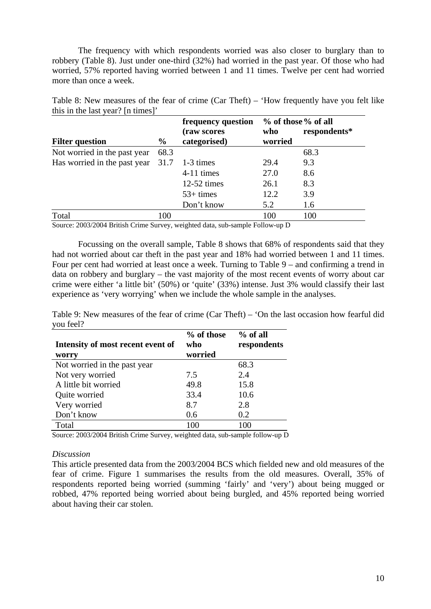The frequency with which respondents worried was also closer to burglary than to robbery (Table 8). Just under one-third (32%) had worried in the past year. Of those who had worried, 57% reported having worried between 1 and 11 times. Twelve per cent had worried more than once a week.

Table 8: New measures of the fear of crime (Car Theft) – 'How frequently have you felt like this in the last year? [n times]'

|                                               |               | frequency question    | % of those % of all |              |
|-----------------------------------------------|---------------|-----------------------|---------------------|--------------|
|                                               |               | (raw scores           | who                 | respondents* |
| <b>Filter question</b>                        | $\frac{6}{9}$ | categorised)          | worried             |              |
| Not worried in the past year                  | 68.3          |                       |                     | 68.3         |
| Has worried in the past year $31.7$ 1-3 times |               |                       | 29.4                | 9.3          |
|                                               |               | $4-11$ times          | 27.0                | 8.6          |
|                                               |               | $12-52 \text{ times}$ | 26.1                | 8.3          |
|                                               |               | $53+ times$           | 12.2                | 3.9          |
|                                               |               | Don't know            | 5.2                 | 1.6          |
| Total                                         | 100           |                       | 100                 | 100          |

Source: 2003/2004 British Crime Survey, weighted data, sub-sample Follow-up D

Focussing on the overall sample, Table 8 shows that 68% of respondents said that they had not worried about car theft in the past year and 18% had worried between 1 and 11 times. Four per cent had worried at least once a week. Turning to Table 9 – and confirming a trend in data on robbery and burglary – the vast majority of the most recent events of worry about car crime were either 'a little bit' (50%) or 'quite' (33%) intense. Just 3% would classify their last experience as 'very worrying' when we include the whole sample in the analyses.

Table 9: New measures of the fear of crime (Car Theft) – 'On the last occasion how fearful did you feel?

| Intensity of most recent event of<br>worry | % of those<br>who<br>worried | $%$ of all<br>respondents |
|--------------------------------------------|------------------------------|---------------------------|
| Not worried in the past year               |                              | 68.3                      |
| Not very worried                           | 7.5                          | 2.4                       |
| A little bit worried                       | 49.8                         | 15.8                      |
| Quite worried                              | 33.4                         | 10.6                      |
| Very worried                               | 8.7                          | 2.8                       |
| Don't know                                 | 0.6                          | 0.2                       |
| Total                                      | 100                          | 100                       |

Source: 2003/2004 British Crime Survey, weighted data, sub-sample follow-up D

# *Discussion*

This article presented data from the 2003/2004 BCS which fielded new and old measures of the fear of crime. Figure 1 summarises the results from the old measures. Overall, 35% of respondents reported being worried (summing 'fairly' and 'very') about being mugged or robbed, 47% reported being worried about being burgled, and 45% reported being worried about having their car stolen.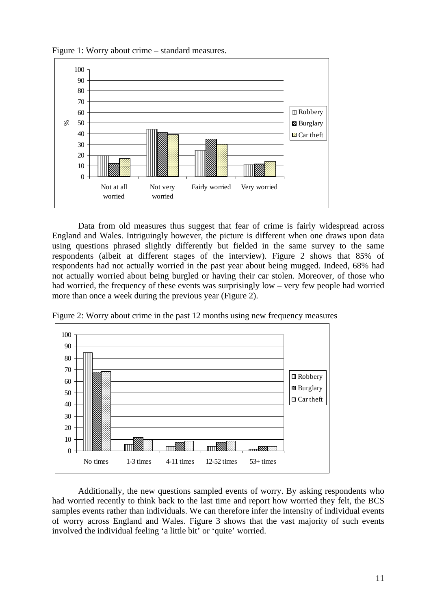

Figure 1: Worry about crime – standard measures.

Data from old measures thus suggest that fear of crime is fairly widespread across England and Wales. Intriguingly however, the picture is different when one draws upon data using questions phrased slightly differently but fielded in the same survey to the same respondents (albeit at different stages of the interview). Figure 2 shows that 85% of respondents had not actually worried in the past year about being mugged. Indeed, 68% had not actually worried about being burgled or having their car stolen. Moreover, of those who had worried, the frequency of these events was surprisingly low – very few people had worried more than once a week during the previous year (Figure 2).



Figure 2: Worry about crime in the past 12 months using new frequency measures

Additionally, the new questions sampled events of worry. By asking respondents who had worried recently to think back to the last time and report how worried they felt, the BCS samples events rather than individuals. We can therefore infer the intensity of individual events of worry across England and Wales. Figure 3 shows that the vast majority of such events involved the individual feeling 'a little bit' or 'quite' worried.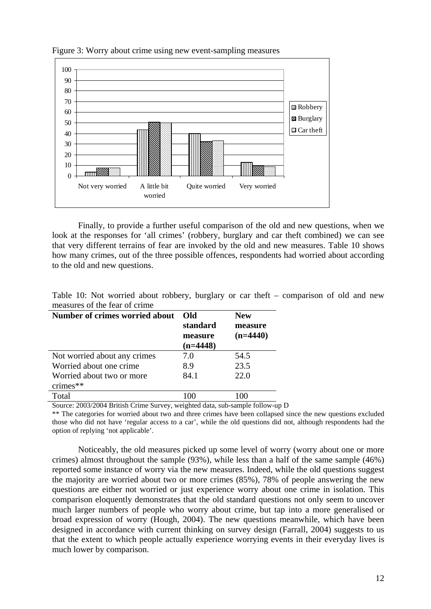

Figure 3: Worry about crime using new event-sampling measures

Finally, to provide a further useful comparison of the old and new questions, when we look at the responses for 'all crimes' (robbery, burglary and car theft combined) we can see that very different terrains of fear are invoked by the old and new measures. Table 10 shows how many crimes, out of the three possible offences, respondents had worried about according to the old and new questions.

| measures of the real of crime  |            |            |
|--------------------------------|------------|------------|
| Number of crimes worried about | Old        | <b>New</b> |
|                                | standard   | measure    |
|                                | measure    | $(n=4440)$ |
|                                | $(n=4448)$ |            |
| Not worried about any crimes   | 7.0        | 54.5       |
| Worried about one crime        | 8.9        | 23.5       |
| Worried about two or more      | 84.1       | 22.0       |
| crimes**                       |            |            |
| Total                          | 100        | 100        |
|                                |            |            |

Table 10: Not worried about robbery, burglary or car theft – comparison of old and new measures of the fear of crime

Source: 2003/2004 British Crime Survey, weighted data, sub-sample follow-up D

\*\* The categories for worried about two and three crimes have been collapsed since the new questions excluded those who did not have 'regular access to a car', while the old questions did not, although respondents had the option of replying 'not applicable'.

Noticeably, the old measures picked up some level of worry (worry about one or more crimes) almost throughout the sample (93%), while less than a half of the same sample (46%) reported some instance of worry via the new measures. Indeed, while the old questions suggest the majority are worried about two or more crimes (85%), 78% of people answering the new questions are either not worried or just experience worry about one crime in isolation. This comparison eloquently demonstrates that the old standard questions not only seem to uncover much larger numbers of people who worry about crime, but tap into a more generalised or broad expression of worry (Hough, 2004). The new questions meanwhile, which have been designed in accordance with current thinking on survey design (Farrall, 2004) suggests to us that the extent to which people actually experience worrying events in their everyday lives is much lower by comparison.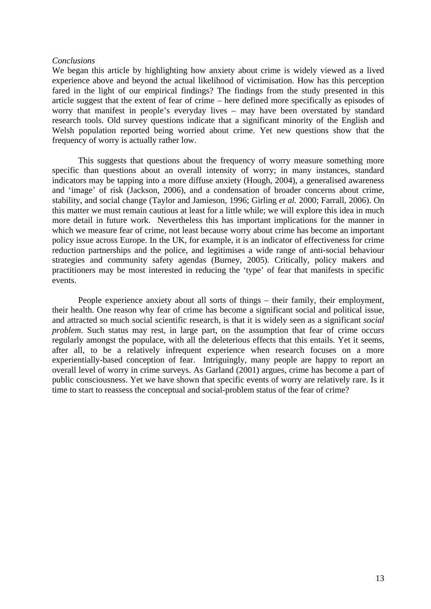#### *Conclusions*

We began this article by highlighting how anxiety about crime is widely viewed as a lived experience above and beyond the actual likelihood of victimisation. How has this perception fared in the light of our empirical findings? The findings from the study presented in this article suggest that the extent of fear of crime – here defined more specifically as episodes of worry that manifest in people's everyday lives – may have been overstated by standard research tools. Old survey questions indicate that a significant minority of the English and Welsh population reported being worried about crime. Yet new questions show that the frequency of worry is actually rather low.

This suggests that questions about the frequency of worry measure something more specific than questions about an overall intensity of worry; in many instances, standard indicators may be tapping into a more diffuse anxiety (Hough, 2004), a generalised awareness and 'image' of risk (Jackson, 2006), and a condensation of broader concerns about crime, stability, and social change (Taylor and Jamieson, 1996; Girling *et al.* 2000; Farrall, 2006). On this matter we must remain cautious at least for a little while; we will explore this idea in much more detail in future work. Nevertheless this has important implications for the manner in which we measure fear of crime, not least because worry about crime has become an important policy issue across Europe. In the UK, for example, it is an indicator of effectiveness for crime reduction partnerships and the police, and legitimises a wide range of anti-social behaviour strategies and community safety agendas (Burney, 2005). Critically, policy makers and practitioners may be most interested in reducing the 'type' of fear that manifests in specific events.

People experience anxiety about all sorts of things – their family, their employment, their health. One reason why fear of crime has become a significant social and political issue, and attracted so much social scientific research, is that it is widely seen as a significant *social problem*. Such status may rest, in large part, on the assumption that fear of crime occurs regularly amongst the populace, with all the deleterious effects that this entails. Yet it seems, after all, to be a relatively infrequent experience when research focuses on a more experientially-based conception of fear. Intriguingly, many people are happy to report an overall level of worry in crime surveys. As Garland (2001) argues, crime has become a part of public consciousness. Yet we have shown that specific events of worry are relatively rare. Is it time to start to reassess the conceptual and social-problem status of the fear of crime?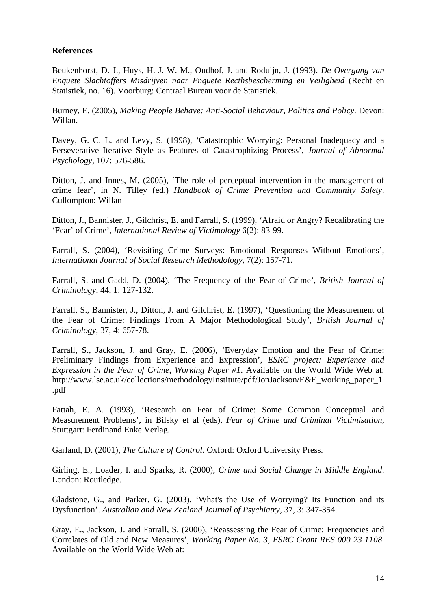# **References**

Beukenhorst, D. J., Huys, H. J. W. M., Oudhof, J. and Roduijn, J. (1993). *De Overgang van Enquete Slachtoffers Misdrijven naar Enquete Recthsbescherming en Veiligheid* (Recht en Statistiek, no. 16). Voorburg: Centraal Bureau voor de Statistiek.

Burney, E. (2005), *Making People Behave: Anti-Social Behaviour, Politics and Policy*. Devon: Willan.

Davey, G. C. L. and Levy, S. (1998), 'Catastrophic Worrying: Personal Inadequacy and a Perseverative Iterative Style as Features of Catastrophizing Process', *Journal of Abnormal Psychology,* 107: 576-586.

Ditton, J. and Innes, M. (2005), 'The role of perceptual intervention in the management of crime fear', in N. Tilley (ed.) *Handbook of Crime Prevention and Community Safety*. Cullompton: Willan

Ditton, J., Bannister, J., Gilchrist, E. and Farrall, S. (1999), 'Afraid or Angry? Recalibrating the 'Fear' of Crime', *International Review of Victimology* 6(2): 83-99.

Farrall, S. (2004), 'Revisiting Crime Surveys: Emotional Responses Without Emotions', *International Journal of Social Research Methodology*, 7(2): 157-71.

Farrall, S. and Gadd, D. (2004), 'The Frequency of the Fear of Crime', *British Journal of Criminology*, 44, 1: 127-132.

Farrall, S., Bannister, J., Ditton, J. and Gilchrist, E. (1997), 'Questioning the Measurement of the Fear of Crime: Findings From A Major Methodological Study', *British Journal of Criminology*, 37, 4: 657-78.

Farrall, S., Jackson, J. and Gray, E. (2006), 'Everyday Emotion and the Fear of Crime: Preliminary Findings from Experience and Expression', *ESRC project: Experience and Expression in the Fear of Crime*, *Working Paper #1*. Available on the World Wide Web at: [http://www.lse.ac.uk/collections/methodologyInstitute/pdf/JonJackson/E&E\\_working\\_paper\\_1](http://www.lse.ac.uk/collections/methodologyInstitute/pdf/JonJackson/E&E_working_paper_1.pdf) [.pdf](http://www.lse.ac.uk/collections/methodologyInstitute/pdf/JonJackson/E&E_working_paper_1.pdf)

Fattah, E. A. (1993), 'Research on Fear of Crime: Some Common Conceptual and Measurement Problems', in Bilsky et al (eds), *Fear of Crime and Criminal Victimisation*, Stuttgart: Ferdinand Enke Verlag.

Garland, D. (2001), *The Culture of Control*. Oxford: Oxford University Press.

Girling, E., Loader, I. and Sparks, R. (2000), *Crime and Social Change in Middle England*. London: Routledge.

Gladstone, G., and Parker, G. (2003), 'What's the Use of Worrying? Its Function and its Dysfunction'. *Australian and New Zealand Journal of Psychiatry*, 37, 3: 347-354.

Gray, E., Jackson, J. and Farrall, S. (2006), 'Reassessing the Fear of Crime: Frequencies and Correlates of Old and New Measures', *Working Paper No. 3, ESRC Grant RES 000 23 1108*. Available on the World Wide Web at: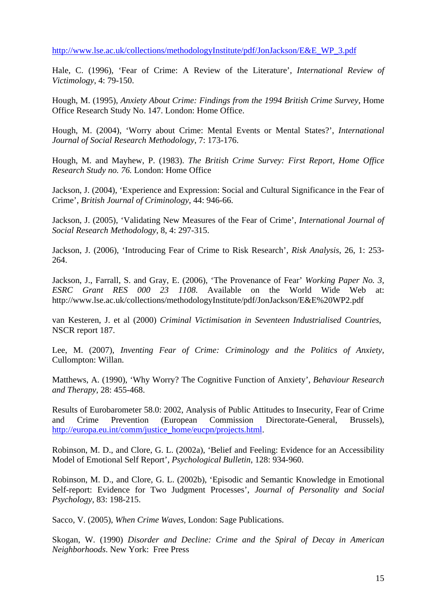[http://www.lse.ac.uk/collections/methodologyInstitute/pdf/JonJackson/E&E\\_WP\\_3.pdf](http://www.lse.ac.uk/collections/methodologyInstitute/pdf/JonJackson/E&E_WP_3.pdf)

Hale, C. (1996), 'Fear of Crime: A Review of the Literature', *International Review of Victimology*, 4: 79-150.

Hough, M. (1995), *Anxiety About Crime: Findings from the 1994 British Crime Survey*, Home Office Research Study No. 147. London: Home Office.

Hough, M. (2004), 'Worry about Crime: Mental Events or Mental States?', *International Journal of Social Research Methodology*, 7: 173-176.

Hough, M. and Mayhew, P. (1983). *The British Crime Survey: First Report, Home Office Research Study no. 76.* London: Home Office

Jackson, J. (2004), 'Experience and Expression: Social and Cultural Significance in the Fear of Crime', *British Journal of Criminology*, 44: 946-66.

Jackson, J. (2005), 'Validating New Measures of the Fear of Crime', *International Journal of Social Research Methodology,* 8, 4: 297-315.

Jackson, J. (2006), 'Introducing Fear of Crime to Risk Research', *Risk Analysis*, 26, 1: 253- 264.

Jackson, J., Farrall, S. and Gray, E. (2006), 'The Provenance of Fear' *Working Paper No. 3, ESRC Grant RES 000 23 1108*. Available on the World Wide Web at: http://www.lse.ac.uk/collections/methodologyInstitute/pdf/JonJackson/E&E%20WP2.pdf

van Kesteren, J. et al (2000) *Criminal Victimisation in Seventeen Industrialised Countries*, NSCR report 187.

Lee, M. (2007), *Inventing Fear of Crime: Criminology and the Politics of Anxiety,*  Cullompton: Willan.

Matthews, A. (1990), 'Why Worry? The Cognitive Function of Anxiety', *Behaviour Research and Therapy,* 28: 455-468.

Results of Eurobarometer 58.0: 2002, Analysis of Public Attitudes to Insecurity, Fear of Crime and Crime Prevention (European Commission Directorate-General, Brussels), [http://europa.eu.int/comm/justice\\_home/eucpn/projects.html](http://europa.eu.int/comm/justice_home/eucpn/projects.html).

Robinson, M. D., and Clore, G. L. (2002a), 'Belief and Feeling: Evidence for an Accessibility Model of Emotional Self Report', *Psychological Bulletin*, 128: 934-960.

Robinson, M. D., and Clore, G. L. (2002b), 'Episodic and Semantic Knowledge in Emotional Self-report: Evidence for Two Judgment Processes', *Journal of Personality and Social Psychology*, 83: 198-215.

Sacco, V. (2005), *When Crime Waves,* London: Sage Publications.

Skogan, W. (1990) *Disorder and Decline: Crime and the Spiral of Decay in American Neighborhoods*. New York: Free Press